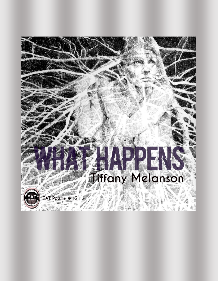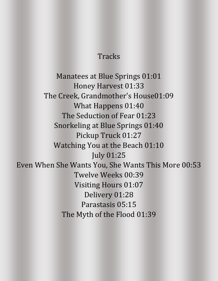## **Tracks**

Manatees at Blue Springs 01:01 Honey Harvest 01:33 The Creek, Grandmother's House01:09 What Happens 01:40 The Seduction of Fear 01:23 Snorkeling at Blue Springs 01:40 Pickup Truck 01:27 Watching You at the Beach 01:10 July 01:25 Even When She Wants You, She Wants This More 00:53 Twelve Weeks 00:39 Visiting Hours 01:07 Delivery 01:28 Parastasis 05:15 The Myth of the Flood 01:39